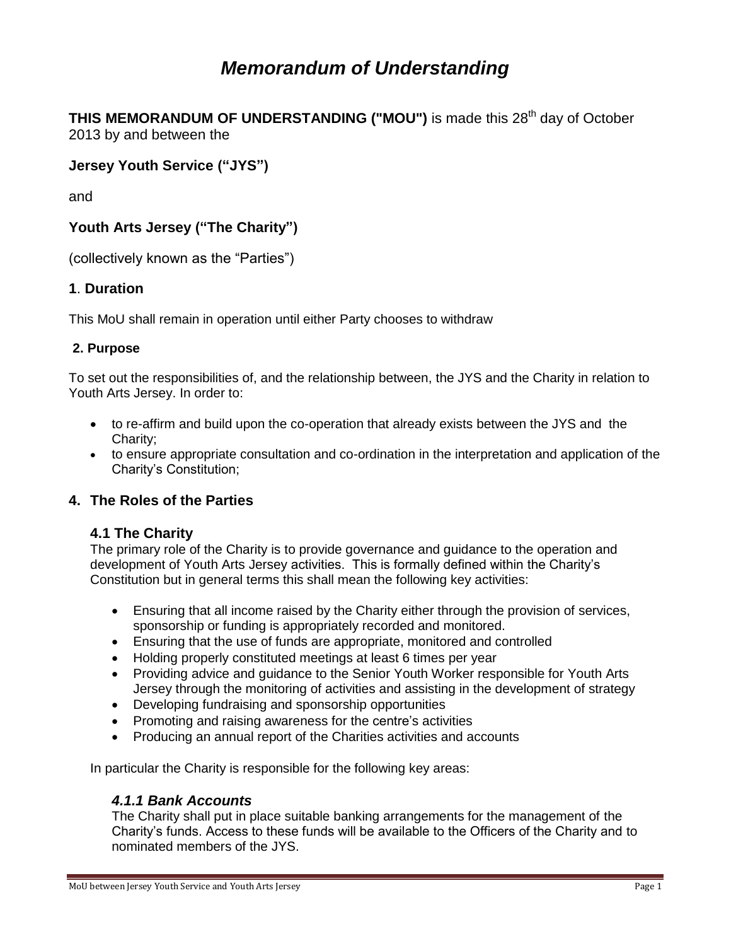# *Memorandum of Understanding*

**THIS MEMORANDUM OF UNDERSTANDING ("MOU")** is made this 28<sup>th</sup> day of October 2013 by and between the

# **Jersey Youth Service ("JYS")**

and

# **Youth Arts Jersey ("The Charity")**

(collectively known as the "Parties")

# **1**. **Duration**

This MoU shall remain in operation until either Party chooses to withdraw

# **2. Purpose**

To set out the responsibilities of, and the relationship between, the JYS and the Charity in relation to Youth Arts Jersey. In order to:

- to re-affirm and build upon the co-operation that already exists between the JYS and the Charity;
- to ensure appropriate consultation and co-ordination in the interpretation and application of the Charity's Constitution;

# **4. The Roles of the Parties**

### **4.1 The Charity**

The primary role of the Charity is to provide governance and guidance to the operation and development of Youth Arts Jersey activities. This is formally defined within the Charity's Constitution but in general terms this shall mean the following key activities:

- Ensuring that all income raised by the Charity either through the provision of services, sponsorship or funding is appropriately recorded and monitored.
- Ensuring that the use of funds are appropriate, monitored and controlled
- Holding properly constituted meetings at least 6 times per year
- Providing advice and guidance to the Senior Youth Worker responsible for Youth Arts Jersey through the monitoring of activities and assisting in the development of strategy
- Developing fundraising and sponsorship opportunities
- Promoting and raising awareness for the centre's activities
- Producing an annual report of the Charities activities and accounts

In particular the Charity is responsible for the following key areas:

### *4.1.1 Bank Accounts*

The Charity shall put in place suitable banking arrangements for the management of the Charity's funds. Access to these funds will be available to the Officers of the Charity and to nominated members of the JYS.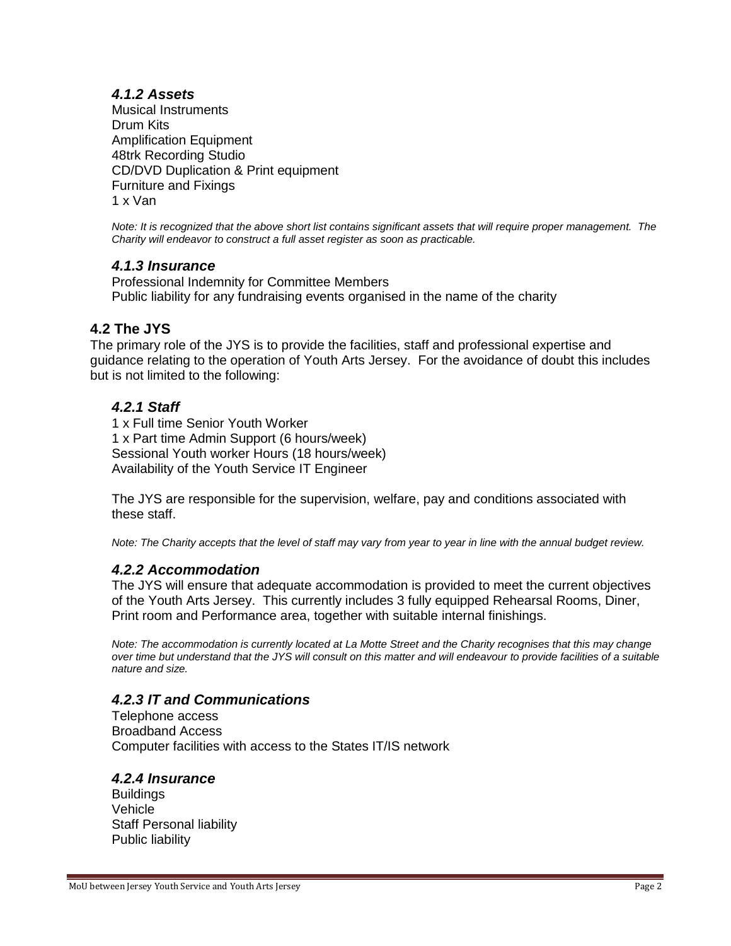# *4.1.2 Assets*

Musical Instruments Drum Kits Amplification Equipment 48trk Recording Studio CD/DVD Duplication & Print equipment Furniture and Fixings 1 x Van

*Note: It is recognized that the above short list contains significant assets that will require proper management. The Charity will endeavor to construct a full asset register as soon as practicable.*

# *4.1.3 Insurance*

Professional Indemnity for Committee Members Public liability for any fundraising events organised in the name of the charity

# **4.2 The JYS**

The primary role of the JYS is to provide the facilities, staff and professional expertise and guidance relating to the operation of Youth Arts Jersey. For the avoidance of doubt this includes but is not limited to the following:

# *4.2.1 Staff*

1 x Full time Senior Youth Worker 1 x Part time Admin Support (6 hours/week) Sessional Youth worker Hours (18 hours/week) Availability of the Youth Service IT Engineer

The JYS are responsible for the supervision, welfare, pay and conditions associated with these staff.

*Note: The Charity accepts that the level of staff may vary from year to year in line with the annual budget review.*

### *4.2.2 Accommodation*

The JYS will ensure that adequate accommodation is provided to meet the current objectives of the Youth Arts Jersey. This currently includes 3 fully equipped Rehearsal Rooms, Diner, Print room and Performance area, together with suitable internal finishings.

*Note: The accommodation is currently located at La Motte Street and the Charity recognises that this may change over time but understand that the JYS will consult on this matter and will endeavour to provide facilities of a suitable nature and size.*

### *4.2.3 IT and Communications*

Telephone access Broadband Access Computer facilities with access to the States IT/IS network

### *4.2.4 Insurance*

**Buildings** Vehicle Staff Personal liability Public liability